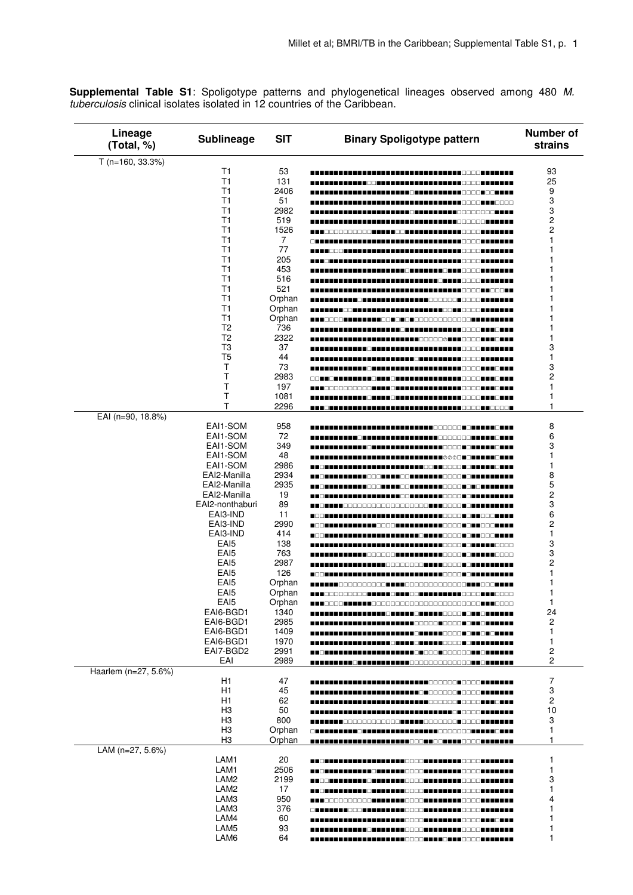**Supplemental Table S1**: Spoligotype patterns and phylogenetical lineages observed among 480 M.<br>tuberculosis clinical isolates isolated in 12 countries of the Caribbean.

| Lineage<br>(Total, %) | <b>Sublineage</b>                    | <b>SIT</b>    | <b>Binary Spoligotype pattern</b>                                                                                           | Number of<br>strains |
|-----------------------|--------------------------------------|---------------|-----------------------------------------------------------------------------------------------------------------------------|----------------------|
| $T (n=160, 33.3%)$    |                                      |               |                                                                                                                             |                      |
|                       | T1                                   | 53            |                                                                                                                             | 93                   |
|                       | T1                                   | 131           |                                                                                                                             | 25                   |
|                       | T1                                   | 2406          |                                                                                                                             | 9                    |
|                       | T1                                   | 51            | $\blacksquare$ $\blacksquare$ $\square$ $\square$ $\square$ $\blacksquare$<br><b>-</b> 8888                                 | 3                    |
|                       | T1<br>T1                             | 2982          |                                                                                                                             | 3                    |
|                       | T1                                   | 519<br>1526   |                                                                                                                             | 2<br>2               |
|                       | T1                                   | 7             | -----------------------                                                                                                     |                      |
|                       | T1                                   | 77            |                                                                                                                             |                      |
|                       | T1                                   | 205           | --------------                                                                                                              |                      |
|                       | T1                                   | 453           |                                                                                                                             |                      |
|                       | T1                                   | 516           |                                                                                                                             |                      |
|                       | T1                                   | 521           | 8 8 8 8 8 8 8 8 8 8 8 8 8 8 8 8                                                                                             |                      |
|                       | T1                                   | Orphan        |                                                                                                                             |                      |
|                       | T <sub>1</sub>                       | Orphan        | THE LEADER                                                                                                                  |                      |
|                       | T1                                   | Orphan        | - - - - - - - - - - - - - -                                                                                                 |                      |
|                       | T <sub>2</sub>                       | 736           | <b>REFEREN</b>                                                                                                              |                      |
|                       | T <sub>2</sub>                       | 2322          |                                                                                                                             | 1                    |
|                       | T <sub>3</sub>                       | 37            |                                                                                                                             | 3                    |
|                       | T <sub>5</sub>                       | 44            |                                                                                                                             | 1                    |
|                       | т                                    | 73            |                                                                                                                             | 3                    |
|                       | Τ<br>Т                               | 2983          | 88 <b>- 18 - 18 - 18 - 18 - 18 - 18</b> -                                                                                   | 2                    |
|                       | T                                    | 197<br>1081   | ______________________                                                                                                      | 1                    |
|                       | Т                                    | 2296          |                                                                                                                             | 1<br>1               |
| EAI (n=90, 18.8%)     |                                      |               |                                                                                                                             |                      |
|                       | EAI1-SOM                             | 958           | nnnnn                                                                                                                       | 8                    |
|                       | EAI1-SOM                             | 72            | -----------                                                                                                                 | 6                    |
|                       | EAI1-SOM                             | 349           |                                                                                                                             | 3                    |
|                       | EAI1-SOM                             | 48            | ∎◙◎◎⊡                                                                                                                       | 1                    |
|                       | EAI1-SOM                             | 2986          | <b>AN</b> DOOD T                                                                                                            | 1                    |
|                       | EAI2-Manilla                         | 2934          | <u> A Bernard a Leberg a Bernard a Bernard a B</u>                                                                          | 8                    |
|                       | EAI2-Manilla                         | 2935          | 3 THE LEFT HE SOOK AND SO THE LEFT HOOGE CAL                                                                                | 5                    |
|                       | EAI2-Manilla                         | 19            |                                                                                                                             | 2                    |
|                       | EAI2-nonthaburi                      | 89            | 8000000000000000000 <b>000000</b>                                                                                           | 3                    |
|                       | EAI3-IND                             | 11            | <b>TEER TITLE</b><br>HH HAAAAHAH                                                                                            | 6                    |
|                       | EAI3-IND                             | 2990          | ------------                                                                                                                | 2                    |
|                       | EAI3-IND                             | 414           | ENNA EL EL<br>----------                                                                                                    | 1                    |
|                       | EA <sub>I5</sub>                     | 138           |                                                                                                                             | 3                    |
|                       | EA <sub>I5</sub>                     | 763           | ___________________                                                                                                         | 3                    |
|                       | EA <sub>I5</sub>                     | 2987          | --------------------------------                                                                                            | 2                    |
|                       | EAI <sub>5</sub><br>EA <sub>I5</sub> | 126<br>Orphan |                                                                                                                             | 1<br>1               |
|                       | EA <sub>I5</sub>                     | Orphan        | ----------- <b>---</b>                                                                                                      | 1                    |
|                       | EAI5                                 | Orphan        |                                                                                                                             | ı                    |
|                       | EAI6-BGD1                            | 1340          |                                                                                                                             | 24                   |
|                       | EAI6-BGD1                            | 2985          |                                                                                                                             | 2                    |
|                       | EAI6-BGD1                            | 1409          | 88                                                                                                                          | 1                    |
|                       | EAI6-BGD1                            | 1970          |                                                                                                                             | 1                    |
|                       | EAI7-BGD2                            | 2991          |                                                                                                                             | $\mathbf 2$          |
|                       | EAI                                  | 2989          |                                                                                                                             | 2                    |
| Haarlem (n=27, 5.6%)  |                                      |               |                                                                                                                             |                      |
|                       | H1                                   | 47            |                                                                                                                             | $\overline{7}$       |
|                       | H1                                   | 45            |                                                                                                                             | 3                    |
|                       | H1                                   | 62            |                                                                                                                             | $\mathbf{2}$         |
|                       | H <sub>3</sub>                       | 50            |                                                                                                                             | 10                   |
|                       | H <sub>3</sub>                       | 800           |                                                                                                                             | 3                    |
|                       | H <sub>3</sub>                       | Orphan        | <u>Cara da alda de de la dada de la da de Ecocación de la cara d</u>                                                        | 1                    |
|                       | H <sub>3</sub>                       | Orphan        |                                                                                                                             | 1                    |
| LAM (n=27, 5.6%)      | LAM1                                 | 20            |                                                                                                                             | 1                    |
|                       | LAM1                                 | 2506          |                                                                                                                             | 1                    |
|                       | LAM2                                 | 2199          | <u> A BOR A BRATA E A BOR A DA BOR A BRATA E O GOOR A BRATA E A BRATA E A BRATA E A BRATA E A BRATA E A BRATA E A BRATA</u> | 3                    |
|                       | LAM2                                 | 17            |                                                                                                                             | 1                    |
|                       | LAM3                                 | 950           |                                                                                                                             | 4                    |
|                       | LAM3                                 | 376           | CHRITITI COORTILLITTI COORTILLITTI COORTILLITTI                                                                             |                      |
|                       | LAM4                                 | 60            |                                                                                                                             |                      |
|                       | LAM5                                 | 93            |                                                                                                                             |                      |
|                       | LAM6                                 | 64            |                                                                                                                             |                      |